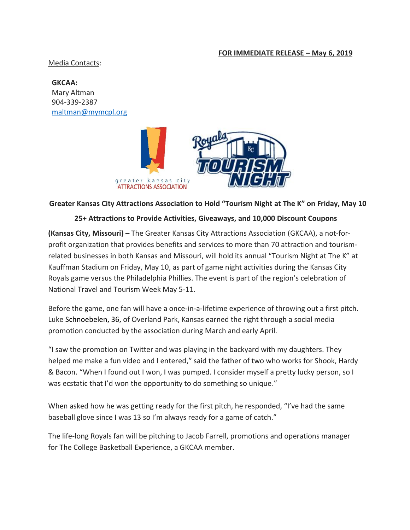## **FOR IMMEDIATE RELEASE – May 6, 2019**

Media Contacts:

**GKCAA:**  Mary Altman 904-339-2387 [maltman@mymcpl.org](mailto:maltman@mymcpl.org)



## **Greater Kansas City Attractions Association to Hold "Tourism Night at The K" on Friday, May 10**

## **25+ Attractions to Provide Activities, Giveaways, and 10,000 Discount Coupons**

**(Kansas City, Missouri) –** The Greater Kansas City Attractions Association (GKCAA), a not-forprofit organization that provides benefits and services to more than 70 attraction and tourismrelated businesses in both Kansas and Missouri, will hold its annual "Tourism Night at The K" at Kauffman Stadium on Friday, May 10, as part of game night activities during the Kansas City Royals game versus the Philadelphia Phillies. The event is part of the region's celebration of National Travel and Tourism Week May 5-11.

Before the game, one fan will have a once-in-a-lifetime experience of throwing out a first pitch. Luke Schnoebelen, 36, of Overland Park, Kansas earned the right through a social media promotion conducted by the association during March and early April.

"I saw the promotion on Twitter and was playing in the backyard with my daughters. They helped me make a fun video and I entered," said the father of two who works for Shook, Hardy & Bacon. "When I found out I won, I was pumped. I consider myself a pretty lucky person, so I was ecstatic that I'd won the opportunity to do something so unique."

When asked how he was getting ready for the first pitch, he responded, "I've had the same baseball glove since I was 13 so I'm always ready for a game of catch."

The life-long Royals fan will be pitching to Jacob Farrell, promotions and operations manager for The College Basketball Experience, a GKCAA member.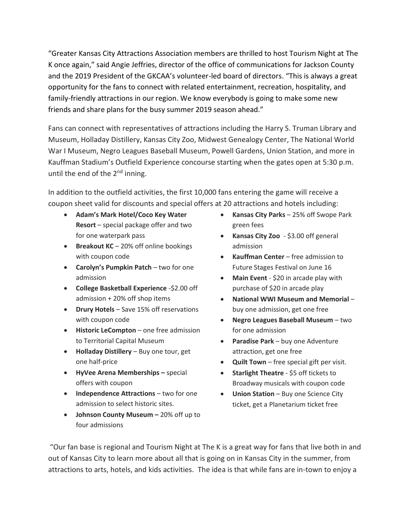"Greater Kansas City Attractions Association members are thrilled to host Tourism Night at The K once again," said Angie Jeffries, director of the office of communications for Jackson County and the 2019 President of the GKCAA's volunteer-led board of directors. "This is always a great opportunity for the fans to connect with related entertainment, recreation, hospitality, and family-friendly attractions in our region. We know everybody is going to make some new friends and share plans for the busy summer 2019 season ahead."

Fans can connect with representatives of attractions including the Harry S. Truman Library and Museum, Holladay Distillery, Kansas City Zoo, Midwest Genealogy Center, The National World War I Museum, Negro Leagues Baseball Museum, Powell Gardens, Union Station, and more in Kauffman Stadium's Outfield Experience concourse starting when the gates open at 5:30 p.m. until the end of the  $2<sup>nd</sup>$  inning.

In addition to the outfield activities, the first 10,000 fans entering the game will receive a coupon sheet valid for discounts and special offers at 20 attractions and hotels including:

- **Adam's Mark Hotel/Coco Key Water Resort** – special package offer and two for one waterpark pass
- **Breakout KC** 20% off online bookings with coupon code
- **Carolyn's Pumpkin Patch** two for one admission
- **College Basketball Experience** -\$2.00 off admission + 20% off shop items
- **•** Drury Hotels Save 15% off reservations with coupon code
- **•** Historic LeCompton one free admission to Territorial Capital Museum
- **Holladay Distillery** Buy one tour, get one half-price
- **HyVee Arena Memberships –** special offers with coupon
- **•** Independence Attractions two for one admission to select historic sites.
- **Johnson County Museum –** 20% off up to four admissions
- **Kansas City Parks**  25% off Swope Park green fees
- **Kansas City Zoo** \$3.00 off general admission
- **Kauffman Center** free admission to Future Stages Festival on June 16
- Main Event \$20 in arcade play with purchase of \$20 in arcade play
- **National WWI Museum and Memorial** buy one admission, get one free
- **Negro Leagues Baseball Museum** two for one admission
- **Paradise Park** buy one Adventure attraction, get one free
- **Quilt Town** free special gift per visit.
- **Starlight Theatre** \$5 off tickets to Broadway musicals with coupon code
- **Union Station** Buy one Science City ticket, get a Planetarium ticket free

"Our fan base is regional and Tourism Night at The K is a great way for fans that live both in and out of Kansas City to learn more about all that is going on in Kansas City in the summer, from attractions to arts, hotels, and kids activities. The idea is that while fans are in-town to enjoy a